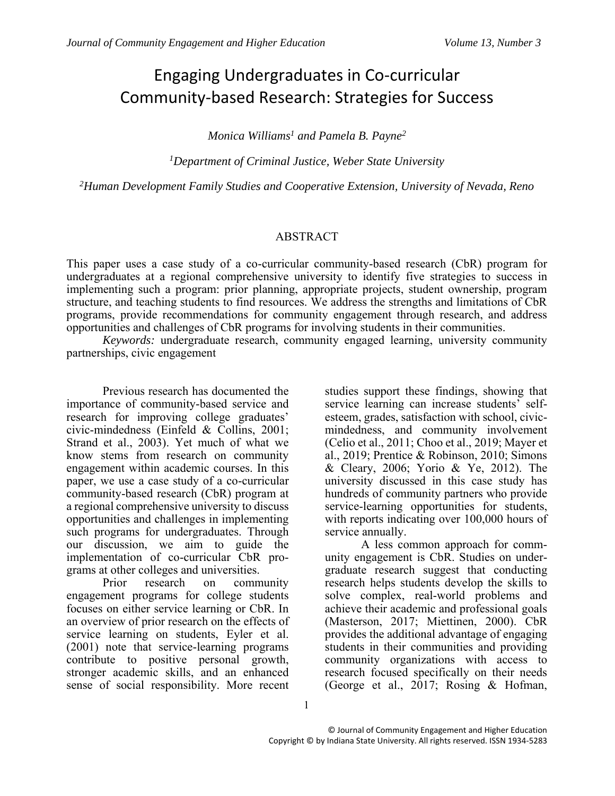# Engaging Undergraduates in Co-curricular Community-based Research: Strategies for Success

*Monica Williams<sup>1</sup> and Pamela B. Payne<sup>2</sup>*

*<sup>1</sup>Department of Criminal Justice, Weber State University*

*<sup>2</sup>Human Development Family Studies and Cooperative Extension, University of Nevada, Reno*

#### ABSTRACT

This paper uses a case study of a co-curricular community-based research (CbR) program for undergraduates at a regional comprehensive university to identify five strategies to success in implementing such a program: prior planning, appropriate projects, student ownership, program structure, and teaching students to find resources. We address the strengths and limitations of CbR programs, provide recommendations for community engagement through research, and address opportunities and challenges of CbR programs for involving students in their communities.

*Keywords:* undergraduate research, community engaged learning, university community partnerships, civic engagement

Previous research has documented the importance of community-based service and research for improving college graduates' civic-mindedness (Einfeld & Collins, 2001; Strand et al., 2003). Yet much of what we know stems from research on community engagement within academic courses. In this paper, we use a case study of a co-curricular community-based research (CbR) program at a regional comprehensive university to discuss opportunities and challenges in implementing such programs for undergraduates. Through our discussion, we aim to guide the implementation of co-curricular CbR programs at other colleges and universities.

Prior research on community engagement programs for college students focuses on either service learning or CbR. In an overview of prior research on the effects of service learning on students, Eyler et al. (2001) note that service-learning programs contribute to positive personal growth, stronger academic skills, and an enhanced sense of social responsibility. More recent

studies support these findings, showing that service learning can increase students' selfesteem, grades, satisfaction with school, civicmindedness, and community involvement (Celio et al., 2011; Choo et al., 2019; Mayer et al., 2019; Prentice & Robinson, 2010; Simons & Cleary, 2006; Yorio & Ye, 2012). The university discussed in this case study has hundreds of community partners who provide service-learning opportunities for students, with reports indicating over 100,000 hours of service annually.

A less common approach for community engagement is CbR. Studies on undergraduate research suggest that conducting research helps students develop the skills to solve complex, real-world problems and achieve their academic and professional goals (Masterson, 2017; Miettinen, 2000). CbR provides the additional advantage of engaging students in their communities and providing community organizations with access to research focused specifically on their needs (George et al., 2017; Rosing & Hofman,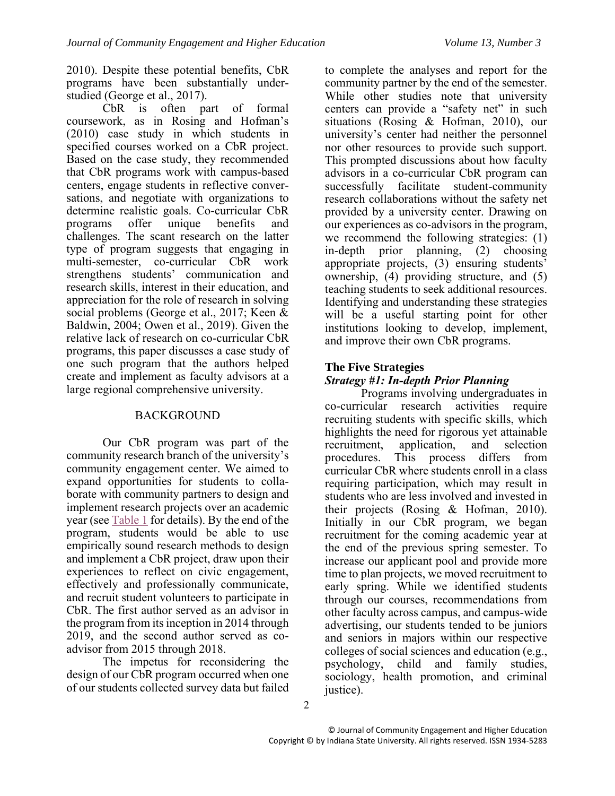2010). Despite these potential benefits, CbR programs have been substantially understudied (George et al., 2017).

CbR is often part of formal coursework, as in Rosing and Hofman's (2010) case study in which students in specified courses worked on a CbR project. Based on the case study, they recommended that CbR programs work with campus-based centers, engage students in reflective conversations, and negotiate with organizations to determine realistic goals. Co-curricular CbR programs offer unique benefits and challenges. The scant research on the latter type of program suggests that engaging in multi-semester, co-curricular CbR work strengthens students' communication and research skills, interest in their education, and appreciation for the role of research in solving social problems (George et al., 2017; Keen & Baldwin, 2004; Owen et al., 2019). Given the relative lack of research on co-curricular CbR programs, this paper discusses a case study of one such program that the authors helped create and implement as faculty advisors at a large regional comprehensive university.

## BACKGROUND

Our CbR program was part of the community research branch of the university's community engagement center. We aimed to expand opportunities for students to collaborate with community partners to design and implement research projects over an academic year (see [Table 1](#page-2-0) for details). By the end of the program, students would be able to use empirically sound research methods to design and implement a CbR project, draw upon their experiences to reflect on civic engagement, effectively and professionally communicate, and recruit student volunteers to participate in CbR. The first author served as an advisor in the program from its inception in 2014 through 2019, and the second author served as coadvisor from 2015 through 2018.

The impetus for reconsidering the design of our CbR program occurred when one of our students collected survey data but failed to complete the analyses and report for the community partner by the end of the semester. While other studies note that university centers can provide a "safety net" in such situations (Rosing & Hofman, 2010), our university's center had neither the personnel nor other resources to provide such support. This prompted discussions about how faculty advisors in a co-curricular CbR program can successfully facilitate student-community research collaborations without the safety net provided by a university center. Drawing on our experiences as co-advisors in the program, we recommend the following strategies: (1) in-depth prior planning, (2) choosing appropriate projects, (3) ensuring students' ownership, (4) providing structure, and (5) teaching students to seek additional resources. Identifying and understanding these strategies will be a useful starting point for other institutions looking to develop, implement, and improve their own CbR programs.

# **The Five Strategies**

# *Strategy #1: In-depth Prior Planning*

Programs involving undergraduates in co-curricular research activities require recruiting students with specific skills, which highlights the need for rigorous yet attainable<br>recruitment, application, and selection recruitment, application, and selection procedures. This process differs from curricular CbR where students enroll in a class requiring participation, which may result in students who are less involved and invested in their projects (Rosing & Hofman, 2010). Initially in our CbR program, we began recruitment for the coming academic year at the end of the previous spring semester. To increase our applicant pool and provide more time to plan projects, we moved recruitment to early spring. While we identified students through our courses, recommendations from other faculty across campus, and campus-wide advertising, our students tended to be juniors and seniors in majors within our respective colleges of social sciences and education (e.g., psychology, child and family studies, sociology, health promotion, and criminal justice).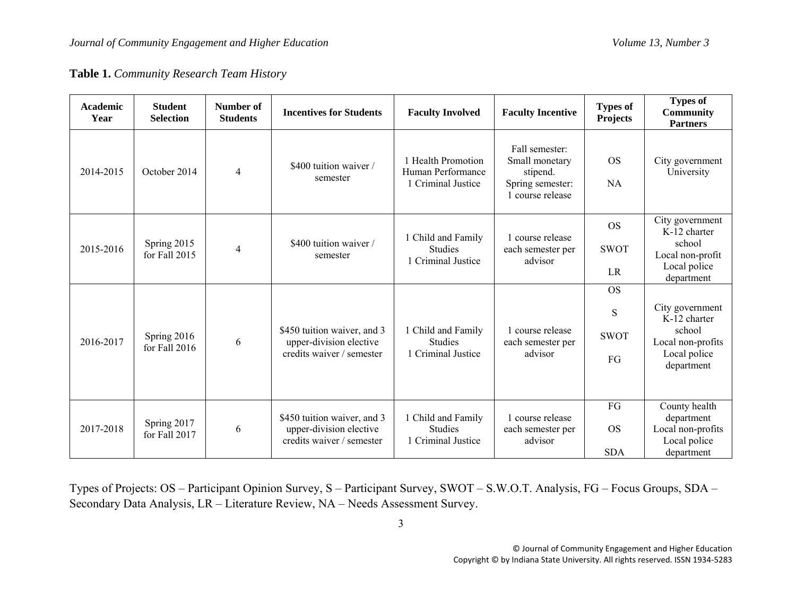**Table 1.** *Community Research Team History*

<span id="page-2-0"></span>

| <b>Academic</b><br>Year | <b>Student</b><br><b>Selection</b> | Number of<br><b>Students</b> | <b>Incentives for Students</b>                                                      | <b>Faculty Involved</b>                                       | <b>Faculty Incentive</b>                                                             | <b>Types of</b><br><b>Projects</b>  | <b>Types of</b><br><b>Community</b><br><b>Partners</b>                                       |
|-------------------------|------------------------------------|------------------------------|-------------------------------------------------------------------------------------|---------------------------------------------------------------|--------------------------------------------------------------------------------------|-------------------------------------|----------------------------------------------------------------------------------------------|
| 2014-2015               | October 2014                       | 4                            | \$400 tuition waiver /<br>semester                                                  | 1 Health Promotion<br>Human Performance<br>1 Criminal Justice | Fall semester:<br>Small monetary<br>stipend.<br>Spring semester:<br>1 course release | <b>OS</b><br><b>NA</b>              | City government<br>University                                                                |
| 2015-2016               | Spring 2015<br>for Fall 2015       | 4                            | \$400 tuition waiver /<br>semester                                                  | Child and Family<br><b>Studies</b><br>1 Criminal Justice      | 1 course release<br>each semester per<br>advisor                                     | <b>OS</b><br><b>SWOT</b><br>LR      | City government<br>K-12 charter<br>school<br>Local non-profit<br>Local police<br>department  |
| 2016-2017               | Spring 2016<br>for Fall 2016       | 6                            | \$450 tuition waiver, and 3<br>upper-division elective<br>credits waiver / semester | Child and Family<br><b>Studies</b><br>1 Criminal Justice      | 1 course release<br>each semester per<br>advisor                                     | <b>OS</b><br>S<br><b>SWOT</b><br>FG | City government<br>K-12 charter<br>school<br>Local non-profits<br>Local police<br>department |
| 2017-2018               | Spring 2017<br>for Fall 2017       | 6                            | \$450 tuition waiver, and 3<br>upper-division elective<br>credits waiver / semester | Child and Family<br><b>Studies</b><br>1 Criminal Justice      | course release<br>each semester per<br>advisor                                       | FG<br><b>OS</b><br><b>SDA</b>       | County health<br>department<br>Local non-profits<br>Local police<br>department               |

Types of Projects: OS – Participant Opinion Survey, S – Participant Survey, SWOT – S.W.O.T. Analysis, FG – Focus Groups, SDA – Secondary Data Analysis, LR – Literature Review, NA – Needs Assessment Survey.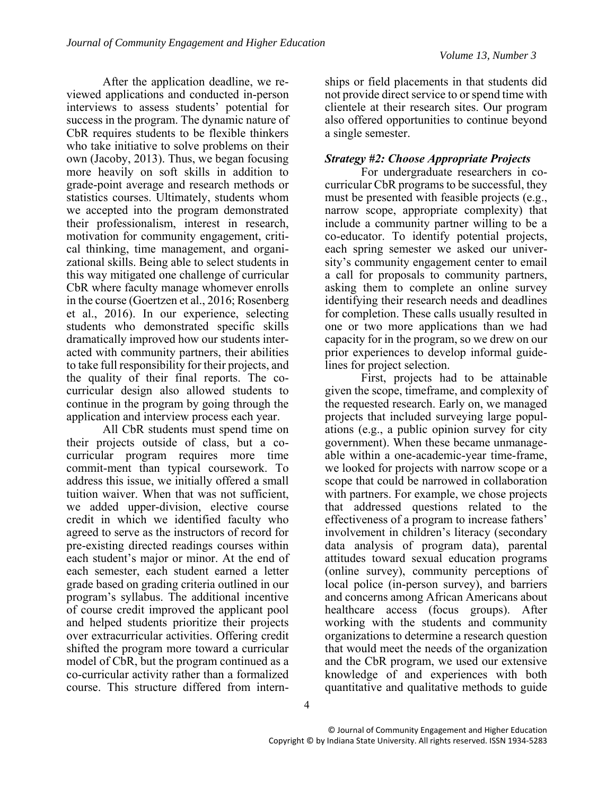After the application deadline, we reviewed applications and conducted in-person interviews to assess students' potential for success in the program. The dynamic nature of CbR requires students to be flexible thinkers who take initiative to solve problems on their own (Jacoby, 2013). Thus, we began focusing more heavily on soft skills in addition to grade-point average and research methods or statistics courses. Ultimately, students whom we accepted into the program demonstrated their professionalism, interest in research, motivation for community engagement, critical thinking, time management, and organizational skills. Being able to select students in this way mitigated one challenge of curricular CbR where faculty manage whomever enrolls in the course (Goertzen et al., 2016; Rosenberg et al., 2016). In our experience, selecting students who demonstrated specific skills dramatically improved how our students interacted with community partners, their abilities to take full responsibility for their projects, and the quality of their final reports. The cocurricular design also allowed students to continue in the program by going through the application and interview process each year.

All CbR students must spend time on their projects outside of class, but a cocurricular program requires more time commit-ment than typical coursework. To address this issue, we initially offered a small tuition waiver. When that was not sufficient, we added upper-division, elective course credit in which we identified faculty who agreed to serve as the instructors of record for pre-existing directed readings courses within each student's major or minor. At the end of each semester, each student earned a letter grade based on grading criteria outlined in our program's syllabus. The additional incentive of course credit improved the applicant pool and helped students prioritize their projects over extracurricular activities. Offering credit shifted the program more toward a curricular model of CbR, but the program continued as a co-curricular activity rather than a formalized course. This structure differed from intern-

ships or field placements in that students did not provide direct service to or spend time with clientele at their research sites. Our program also offered opportunities to continue beyond a single semester.

#### *Strategy #2: Choose Appropriate Projects*

For undergraduate researchers in cocurricular CbR programs to be successful, they must be presented with feasible projects (e.g., narrow scope, appropriate complexity) that include a community partner willing to be a co-educator. To identify potential projects, each spring semester we asked our university's community engagement center to email a call for proposals to community partners, asking them to complete an online survey identifying their research needs and deadlines for completion. These calls usually resulted in one or two more applications than we had capacity for in the program, so we drew on our prior experiences to develop informal guidelines for project selection.

First, projects had to be attainable given the scope, timeframe, and complexity of the requested research. Early on, we managed projects that included surveying large populations (e.g., a public opinion survey for city government). When these became unmanageable within a one-academic-year time-frame, we looked for projects with narrow scope or a scope that could be narrowed in collaboration with partners. For example, we chose projects that addressed questions related to the effectiveness of a program to increase fathers' involvement in children's literacy (secondary data analysis of program data), parental attitudes toward sexual education programs (online survey), community perceptions of local police (in-person survey), and barriers and concerns among African Americans about healthcare access (focus groups). After working with the students and community organizations to determine a research question that would meet the needs of the organization and the CbR program, we used our extensive knowledge of and experiences with both quantitative and qualitative methods to guide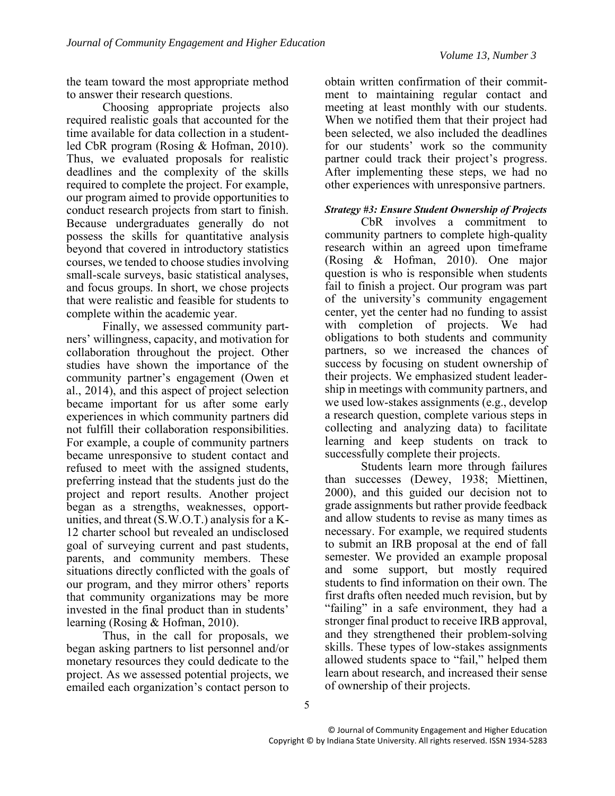the team toward the most appropriate method to answer their research questions.

Choosing appropriate projects also required realistic goals that accounted for the time available for data collection in a studentled CbR program (Rosing & Hofman, 2010). Thus, we evaluated proposals for realistic deadlines and the complexity of the skills required to complete the project. For example, our program aimed to provide opportunities to conduct research projects from start to finish. Because undergraduates generally do not possess the skills for quantitative analysis beyond that covered in introductory statistics courses, we tended to choose studies involving small-scale surveys, basic statistical analyses, and focus groups. In short, we chose projects that were realistic and feasible for students to complete within the academic year.

Finally, we assessed community partners' willingness, capacity, and motivation for collaboration throughout the project. Other studies have shown the importance of the community partner's engagement (Owen et al., 2014), and this aspect of project selection became important for us after some early experiences in which community partners did not fulfill their collaboration responsibilities. For example, a couple of community partners became unresponsive to student contact and refused to meet with the assigned students, preferring instead that the students just do the project and report results. Another project began as a strengths, weaknesses, opportunities, and threat (S.W.O.T.) analysis for a K-12 charter school but revealed an undisclosed goal of surveying current and past students, parents, and community members. These situations directly conflicted with the goals of our program, and they mirror others' reports that community organizations may be more invested in the final product than in students' learning (Rosing & Hofman, 2010).

Thus, in the call for proposals, we began asking partners to list personnel and/or monetary resources they could dedicate to the project. As we assessed potential projects, we emailed each organization's contact person to

obtain written confirmation of their commitment to maintaining regular contact and meeting at least monthly with our students. When we notified them that their project had been selected, we also included the deadlines for our students' work so the community partner could track their project's progress. After implementing these steps, we had no other experiences with unresponsive partners.

#### *Strategy #3: Ensure Student Ownership of Projects*

CbR involves a commitment to community partners to complete high-quality research within an agreed upon timeframe (Rosing & Hofman, 2010). One major question is who is responsible when students fail to finish a project. Our program was part of the university's community engagement center, yet the center had no funding to assist with completion of projects. We had obligations to both students and community partners, so we increased the chances of success by focusing on student ownership of their projects. We emphasized student leadership in meetings with community partners, and we used low-stakes assignments (e.g., develop a research question, complete various steps in collecting and analyzing data) to facilitate learning and keep students on track to successfully complete their projects.

Students learn more through failures than successes (Dewey, 1938; Miettinen, 2000), and this guided our decision not to grade assignments but rather provide feedback and allow students to revise as many times as necessary. For example, we required students to submit an IRB proposal at the end of fall semester. We provided an example proposal and some support, but mostly required students to find information on their own. The first drafts often needed much revision, but by "failing" in a safe environment, they had a stronger final product to receive IRB approval, and they strengthened their problem-solving skills. These types of low-stakes assignments allowed students space to "fail," helped them learn about research, and increased their sense of ownership of their projects.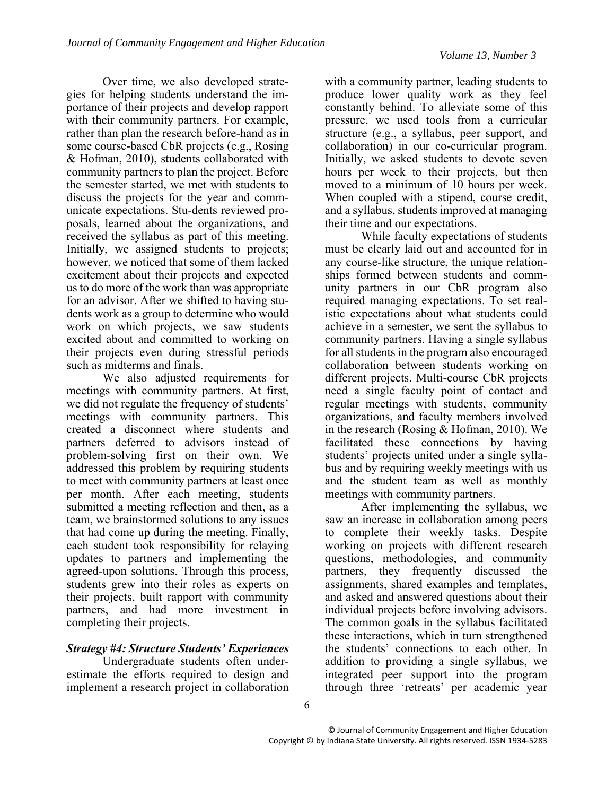Over time, we also developed strategies for helping students understand the importance of their projects and develop rapport with their community partners. For example, rather than plan the research before-hand as in some course-based CbR projects (e.g., Rosing & Hofman, 2010), students collaborated with community partners to plan the project. Before the semester started, we met with students to discuss the projects for the year and communicate expectations. Stu-dents reviewed proposals, learned about the organizations, and received the syllabus as part of this meeting. Initially, we assigned students to projects; however, we noticed that some of them lacked excitement about their projects and expected us to do more of the work than was appropriate for an advisor. After we shifted to having students work as a group to determine who would work on which projects, we saw students excited about and committed to working on their projects even during stressful periods such as midterms and finals.

We also adjusted requirements for meetings with community partners. At first, we did not regulate the frequency of students' meetings with community partners. This created a disconnect where students and partners deferred to advisors instead of problem-solving first on their own. We addressed this problem by requiring students to meet with community partners at least once per month. After each meeting, students submitted a meeting reflection and then, as a team, we brainstormed solutions to any issues that had come up during the meeting. Finally, each student took responsibility for relaying updates to partners and implementing the agreed-upon solutions. Through this process, students grew into their roles as experts on their projects, built rapport with community partners, and had more investment in completing their projects.

## *Strategy #4: Structure Students' Experiences*

Undergraduate students often underestimate the efforts required to design and implement a research project in collaboration

with a community partner, leading students to produce lower quality work as they feel constantly behind. To alleviate some of this pressure, we used tools from a curricular structure (e.g., a syllabus, peer support, and collaboration) in our co-curricular program. Initially, we asked students to devote seven hours per week to their projects, but then moved to a minimum of 10 hours per week. When coupled with a stipend, course credit, and a syllabus, students improved at managing their time and our expectations.

While faculty expectations of students must be clearly laid out and accounted for in any course-like structure, the unique relationships formed between students and community partners in our CbR program also required managing expectations. To set realistic expectations about what students could achieve in a semester, we sent the syllabus to community partners. Having a single syllabus for all students in the program also encouraged collaboration between students working on different projects. Multi-course CbR projects need a single faculty point of contact and regular meetings with students, community organizations, and faculty members involved in the research (Rosing & Hofman, 2010). We facilitated these connections by having students' projects united under a single syllabus and by requiring weekly meetings with us and the student team as well as monthly meetings with community partners.

After implementing the syllabus, we saw an increase in collaboration among peers to complete their weekly tasks. Despite working on projects with different research questions, methodologies, and community partners, they frequently discussed the assignments, shared examples and templates, and asked and answered questions about their individual projects before involving advisors. The common goals in the syllabus facilitated these interactions, which in turn strengthened the students' connections to each other. In addition to providing a single syllabus, we integrated peer support into the program through three 'retreats' per academic year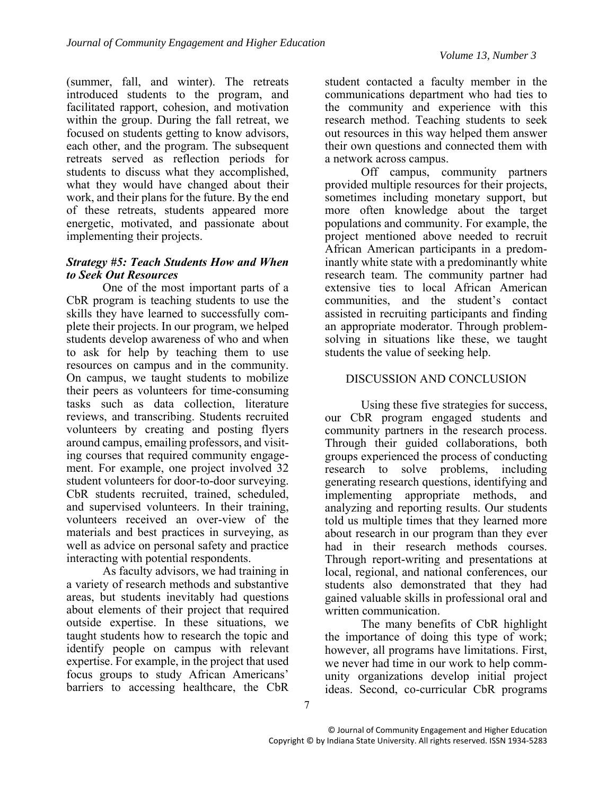(summer, fall, and winter). The retreats introduced students to the program, and facilitated rapport, cohesion, and motivation within the group. During the fall retreat, we focused on students getting to know advisors, each other, and the program. The subsequent retreats served as reflection periods for students to discuss what they accomplished, what they would have changed about their work, and their plans for the future. By the end of these retreats, students appeared more energetic, motivated, and passionate about implementing their projects.

#### *Strategy #5: Teach Students How and When to Seek Out Resources*

One of the most important parts of a CbR program is teaching students to use the skills they have learned to successfully complete their projects. In our program, we helped students develop awareness of who and when to ask for help by teaching them to use resources on campus and in the community. On campus, we taught students to mobilize their peers as volunteers for time-consuming tasks such as data collection, literature reviews, and transcribing. Students recruited volunteers by creating and posting flyers around campus, emailing professors, and visiting courses that required community engagement. For example, one project involved 32 student volunteers for door-to-door surveying. CbR students recruited, trained, scheduled, and supervised volunteers. In their training, volunteers received an over-view of the materials and best practices in surveying, as well as advice on personal safety and practice interacting with potential respondents.

As faculty advisors, we had training in a variety of research methods and substantive areas, but students inevitably had questions about elements of their project that required outside expertise. In these situations, we taught students how to research the topic and identify people on campus with relevant expertise. For example, in the project that used focus groups to study African Americans' barriers to accessing healthcare, the CbR

student contacted a faculty member in the communications department who had ties to the community and experience with this research method. Teaching students to seek out resources in this way helped them answer their own questions and connected them with a network across campus.

Off campus, community partners provided multiple resources for their projects, sometimes including monetary support, but more often knowledge about the target populations and community. For example, the project mentioned above needed to recruit African American participants in a predominantly white state with a predominantly white research team. The community partner had extensive ties to local African American communities, and the student's contact assisted in recruiting participants and finding an appropriate moderator. Through problemsolving in situations like these, we taught students the value of seeking help.

## DISCUSSION AND CONCLUSION

Using these five strategies for success, our CbR program engaged students and community partners in the research process. Through their guided collaborations, both groups experienced the process of conducting research to solve problems, including generating research questions, identifying and implementing appropriate methods, and analyzing and reporting results. Our students told us multiple times that they learned more about research in our program than they ever had in their research methods courses. Through report-writing and presentations at local, regional, and national conferences, our students also demonstrated that they had gained valuable skills in professional oral and written communication.

The many benefits of CbR highlight the importance of doing this type of work; however, all programs have limitations. First, we never had time in our work to help community organizations develop initial project ideas. Second, co-curricular CbR programs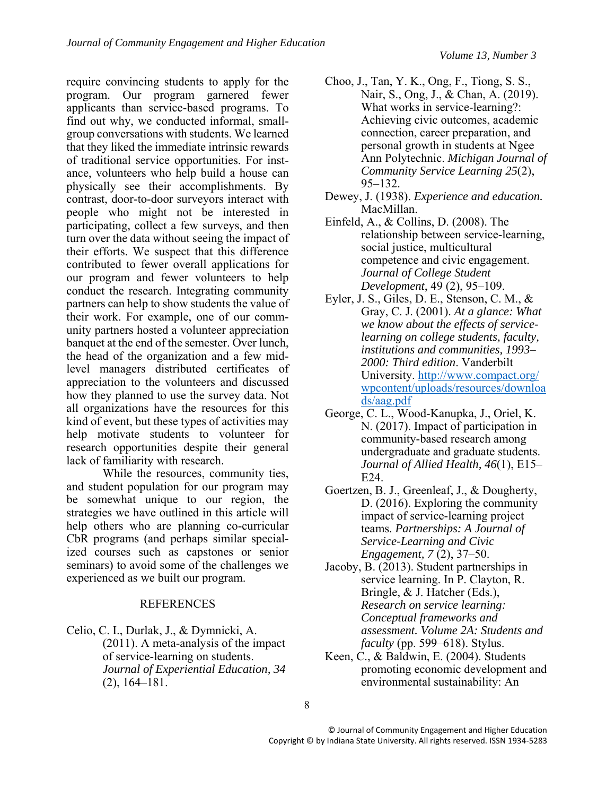require convincing students to apply for the program. Our program garnered fewer applicants than service-based programs. To find out why, we conducted informal, smallgroup conversations with students. We learned that they liked the immediate intrinsic rewards of traditional service opportunities. For instance, volunteers who help build a house can physically see their accomplishments. By contrast, door-to-door surveyors interact with people who might not be interested in participating, collect a few surveys, and then turn over the data without seeing the impact of their efforts. We suspect that this difference contributed to fewer overall applications for our program and fewer volunteers to help conduct the research. Integrating community partners can help to show students the value of their work. For example, one of our community partners hosted a volunteer appreciation banquet at the end of the semester. Over lunch, the head of the organization and a few midlevel managers distributed certificates of appreciation to the volunteers and discussed how they planned to use the survey data. Not all organizations have the resources for this kind of event, but these types of activities may help motivate students to volunteer for research opportunities despite their general lack of familiarity with research.

While the resources, community ties, and student population for our program may be somewhat unique to our region, the strategies we have outlined in this article will help others who are planning co-curricular CbR programs (and perhaps similar specialized courses such as capstones or senior seminars) to avoid some of the challenges we experienced as we built our program.

#### REFERENCES

Celio, C. I., Durlak, J., & Dymnicki, A. (2011). A meta-analysis of the impact of service-learning on students. *Journal of Experiential Education, 34* (2), 164–181.

- Choo, J., Tan, Y. K., Ong, F., Tiong, S. S., Nair, S., Ong, J., & Chan, A. (2019). What works in service-learning?: Achieving civic outcomes, academic connection, career preparation, and personal growth in students at Ngee Ann Polytechnic. *Michigan Journal of Community Service Learning 25*(2), 95–132.
- Dewey, J. (1938). *Experience and education.*  MacMillan.
- Einfeld, A., & Collins, D. (2008). The relationship between service-learning, social justice, multicultural competence and civic engagement. *Journal of College Student Development*, 49 (2), 95–109.
- Eyler, J. S., Giles, D. E., Stenson, C. M., & Gray, C. J. (2001). *At a glance: What we know about the effects of servicelearning on college students, faculty, institutions and communities, 1993*– *2000: Third edition*. Vanderbilt University. [http://www.compact.org/](http://www.compact.org/%20wpcontent/uploads/resources/downloads/aag.pdf) [wpcontent/uploads/resources/downloa](http://www.compact.org/%20wpcontent/uploads/resources/downloads/aag.pdf) [ds/aag.pdf](http://www.compact.org/%20wpcontent/uploads/resources/downloads/aag.pdf)
- George, C. L., Wood-Kanupka, J., Oriel, K. N. (2017). Impact of participation in community-based research among undergraduate and graduate students. *Journal of Allied Health, 46*(1), E15– E24.
- Goertzen, B. J., Greenleaf, J., & Dougherty, D. (2016). Exploring the community impact of service-learning project teams. *Partnerships: A Journal of Service-Learning and Civic Engagement, 7* (2), 37–50.
- Jacoby, B. (2013). Student partnerships in service learning. In P. Clayton, R. Bringle, & J. Hatcher (Eds.), *Research on service learning: Conceptual frameworks and assessment. Volume 2A: Students and faculty* (pp. 599–618). Stylus.
- Keen, C., & Baldwin, E. (2004). Students promoting economic development and environmental sustainability: An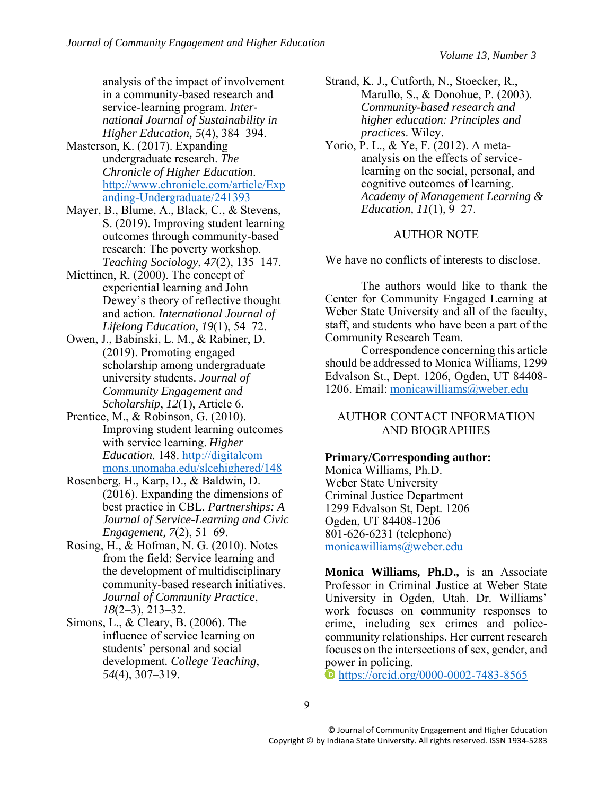analysis of the impact of involvement in a community-based research and service-learning program. *International Journal of Sustainability in Higher Education, 5*(4), 384–394.

- Masterson, K. (2017). Expanding undergraduate research. *The Chronicle of Higher Education*. [http://www.chronicle.com/article/Exp](http://www.chronicle.com/article/Expanding-Undergraduate/241393) [anding-Undergraduate/241393](http://www.chronicle.com/article/Expanding-Undergraduate/241393)
- Mayer, B., Blume, A., Black, C., & Stevens, S. (2019). Improving student learning outcomes through community-based research: The poverty workshop. *Teaching Sociology*, *47*(2), 135–147.
- Miettinen, R. (2000). The concept of experiential learning and John Dewey's theory of reflective thought and action. *International Journal of Lifelong Education, 19*(1), 54–72.
- Owen, J., Babinski, L. M., & Rabiner, D. (2019). Promoting engaged scholarship among undergraduate university students. *Journal of Community Engagement and Scholarship*, *12*(1), Article 6.
- Prentice, M., & Robinson, G. (2010). Improving student learning outcomes with service learning. *Higher Education*. 148. http://digitalcom mons.unomaha.edu/slcehighered/148
- Rosenberg, H., Karp, D., & Baldwin, D. (2016). Expanding the dimensions of best practice in CBL. *Partnerships: A Journal of Service-Learning and Civic Engagement, 7*(2), 51–69.
- Rosing, H., & Hofman, N. G. (2010). Notes from the field: Service learning and the development of multidisciplinary community-based research initiatives. *Journal of Community Practice*, *18*(2–3), 213–32.
- Simons, L., & Cleary, B. (2006). The influence of service learning on students' personal and social development*. College Teaching*, *54*(4), 307–319.
- Strand, K. J., Cutforth, N., Stoecker, R., Marullo, S., & Donohue, P. (2003). *Community-based research and higher education: Principles and practices*. Wiley.
- Yorio, P. L., & Ye, F. (2012). A metaanalysis on the effects of servicelearning on the social, personal, and cognitive outcomes of learning. *Academy of Management Learning & Education, 11*(1), 9–27.

#### AUTHOR NOTE

We have no conflicts of interests to disclose.

The authors would like to thank the Center for Community Engaged Learning at Weber State University and all of the faculty, staff, and students who have been a part of the Community Research Team.

Correspondence concerning this article should be addressed to Monica Williams, 1299 Edvalson St., Dept. 1206, Ogden, UT 84408- 1206. Email: [monicawilliams@weber.edu](mailto:monicawilliams@weber.edu)

#### AUTHOR CONTACT INFORMATION AND BIOGRAPHIES

#### **Primary/Corresponding author:**

Monica Williams, Ph.D. Weber State University Criminal Justice Department 1299 Edvalson St, Dept. 1206 Ogden, UT 84408-1206 801-626-6231 (telephone) [monicawilliams@weber.edu](mailto:monicawilliams@weber.edu)

**Monica Williams, Ph.D.,** is an Associate Professor in Criminal Justice at Weber State University in Ogden, Utah. Dr. Williams' work focuses on community responses to crime, including sex crimes and policecommunity relationships. Her current research focuses on the intersections of sex, gender, and power in policing.

<https://orcid.org/0000-0002-7483-8565>